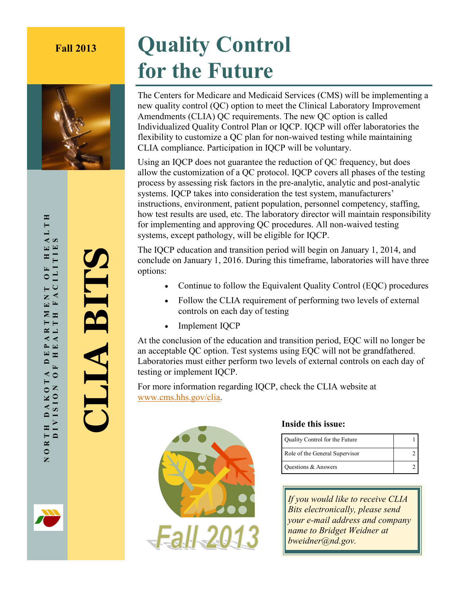

# **Fall 2013 Quality Control for the Future**

The Centers for Medicare and Medicaid Services (CMS) will be implementing a new quality control (QC) option to meet the Clinical Laboratory Improvement Amendments (CLIA) QC requirements. The new QC option is called Individualized Quality Control Plan or IQCP. IQCP will offer laboratories the flexibility to customize a QC plan for non-waived testing while maintaining CLIA compliance. Participation in IQCP will be voluntary.

Using an IQCP does not guarantee the reduction of QC frequency, but does allow the customization of a QC protocol. IQCP covers all phases of the testing process by assessing risk factors in the pre-analytic, analytic and post-analytic systems. IQCP takes into consideration the test system, manufacturers' instructions, environment, patient population, personnel competency, staffing, how test results are used, etc. The laboratory director will maintain responsibility for implementing and approving QC procedures. All non-waived testing systems, except pathology, will be eligible for IQCP.

The IQCP education and transition period will begin on January 1, 2014, and conclude on January 1, 2016. During this timeframe, laboratories will have three options:

- Continue to follow the Equivalent Quality Control (EQC) procedures
- Follow the CLIA requirement of performing two levels of external controls on each day of testing
- Implement IQCP

At the conclusion of the education and transition period, EQC will no longer be an acceptable QC option. Test systems using EQC will not be grandfathered. Laboratories must either perform two levels of external controls on each day of testing or implement IQCP.

For more information regarding IQCP, check the CLIA website at [www.cms.hhs.gov/clia.](http://www.cms.hhs.gov/clia) 



### **Inside this issue:**

|  | Quality Control for the Future |  |
|--|--------------------------------|--|
|  | Role of the General Supervisor |  |
|  | Questions & Answers            |  |

*If you would like to receive CLIA Bits electronically, please send your e-mail address and company name to Bridget Weidner at bweidner@nd.gov.*

EALTH МОВТН DAKOTA DEPARTMENT ОF НЕАLТН<br>О DIVISION ОГ НЕАLТН ГАСІІТТЕЯ DIVISION OF HEALTH FACILITIES  $\boldsymbol{\omega}$ FACILITIE  $\mathbf{H}$  $\overline{r}$  $\circ$ Z  $\boxed{\blacksquare}$ MINIV EP.  $\mathbf{D}$  $\mathbf{r}$  $\ddot{\bullet}$  $\blacktriangleleft$ **NOIAIAIO**  $\circ$ D A K NORTH

**CLIA BITS**